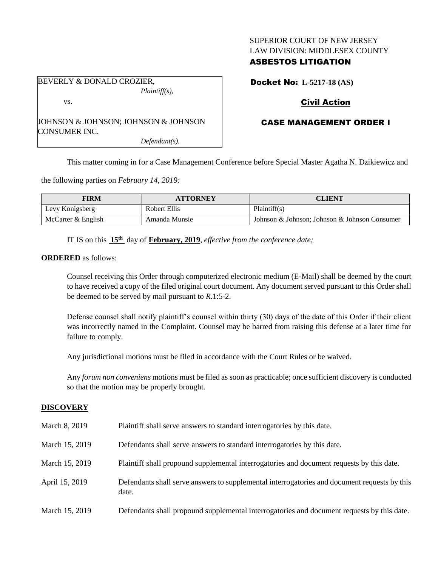## SUPERIOR COURT OF NEW JERSEY LAW DIVISION: MIDDLESEX COUNTY

## ASBESTOS LITIGATION

BEVERLY & DONALD CROZIER, *Plaintiff(s),*

vs.

JOHNSON & JOHNSON; JOHNSON & JOHNSON CONSUMER INC.

*Defendant(s).*

Docket No: **L-5217-18 (AS)**

# Civil Action

# CASE MANAGEMENT ORDER I

This matter coming in for a Case Management Conference before Special Master Agatha N. Dzikiewicz and

the following parties on *February 14, 2019:*

| <b>FIRM</b>        | <b>ATTORNEY</b> | <b>CLIENT</b>                                 |  |
|--------------------|-----------------|-----------------------------------------------|--|
| Levy Konigsberg    | Robert Ellis    | Plaintiff(s)                                  |  |
| McCarter & English | Amanda Munsie   | Johnson & Johnson; Johnson & Johnson Consumer |  |

IT IS on this **15th** day of **February, 2019**, *effective from the conference date;*

**ORDERED** as follows:

Counsel receiving this Order through computerized electronic medium (E-Mail) shall be deemed by the court to have received a copy of the filed original court document. Any document served pursuant to this Order shall be deemed to be served by mail pursuant to *R*.1:5-2.

Defense counsel shall notify plaintiff's counsel within thirty (30) days of the date of this Order if their client was incorrectly named in the Complaint. Counsel may be barred from raising this defense at a later time for failure to comply.

Any jurisdictional motions must be filed in accordance with the Court Rules or be waived.

Any *forum non conveniens* motions must be filed as soon as practicable; once sufficient discovery is conducted so that the motion may be properly brought.

## **DISCOVERY**

| March 8, 2019  | Plaintiff shall serve answers to standard interrogatories by this date.                               |
|----------------|-------------------------------------------------------------------------------------------------------|
| March 15, 2019 | Defendants shall serve answers to standard interrogatories by this date.                              |
| March 15, 2019 | Plaintiff shall propound supplemental interrogatories and document requests by this date.             |
| April 15, 2019 | Defendants shall serve answers to supplemental interrogatories and document requests by this<br>date. |
| March 15, 2019 | Defendants shall propound supplemental interrogatories and document requests by this date.            |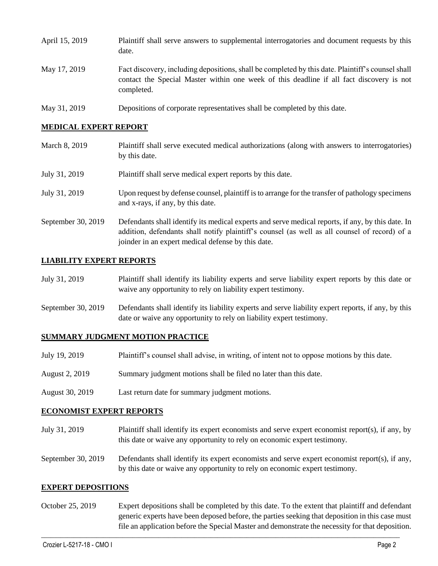- April 15, 2019 Plaintiff shall serve answers to supplemental interrogatories and document requests by this date. May 17, 2019 Fact discovery, including depositions, shall be completed by this date. Plaintiff's counsel shall contact the Special Master within one week of this deadline if all fact discovery is not completed.
- May 31, 2019 Depositions of corporate representatives shall be completed by this date.

### **MEDICAL EXPERT REPORT**

- March 8, 2019 Plaintiff shall serve executed medical authorizations (along with answers to interrogatories) by this date.
- July 31, 2019 Plaintiff shall serve medical expert reports by this date.
- July 31, 2019 Upon request by defense counsel, plaintiff is to arrange for the transfer of pathology specimens and x-rays, if any, by this date.
- September 30, 2019 Defendants shall identify its medical experts and serve medical reports, if any, by this date. In addition, defendants shall notify plaintiff's counsel (as well as all counsel of record) of a joinder in an expert medical defense by this date.

### **LIABILITY EXPERT REPORTS**

| July 31, 2019 | Plaintiff shall identify its liability experts and serve liability expert reports by this date or |
|---------------|---------------------------------------------------------------------------------------------------|
|               | waive any opportunity to rely on liability expert testimony.                                      |

September 30, 2019 Defendants shall identify its liability experts and serve liability expert reports, if any, by this date or waive any opportunity to rely on liability expert testimony.

### **SUMMARY JUDGMENT MOTION PRACTICE**

| Plaintiff's counsel shall advise, in writing, of intent not to oppose motions by this date. | July 19, 2019 |  |  |  |  |
|---------------------------------------------------------------------------------------------|---------------|--|--|--|--|
|---------------------------------------------------------------------------------------------|---------------|--|--|--|--|

- August 2, 2019 Summary judgment motions shall be filed no later than this date.
- August 30, 2019 Last return date for summary judgment motions.

#### **ECONOMIST EXPERT REPORTS**

- July 31, 2019 Plaintiff shall identify its expert economists and serve expert economist report(s), if any, by this date or waive any opportunity to rely on economic expert testimony.
- September 30, 2019 Defendants shall identify its expert economists and serve expert economist report(s), if any, by this date or waive any opportunity to rely on economic expert testimony.

#### **EXPERT DEPOSITIONS**

October 25, 2019 Expert depositions shall be completed by this date. To the extent that plaintiff and defendant generic experts have been deposed before, the parties seeking that deposition in this case must file an application before the Special Master and demonstrate the necessity for that deposition.

 $\_$  ,  $\_$  ,  $\_$  ,  $\_$  ,  $\_$  ,  $\_$  ,  $\_$  ,  $\_$  ,  $\_$  ,  $\_$  ,  $\_$  ,  $\_$  ,  $\_$  ,  $\_$  ,  $\_$  ,  $\_$  ,  $\_$  ,  $\_$  ,  $\_$  ,  $\_$  ,  $\_$  ,  $\_$  ,  $\_$  ,  $\_$  ,  $\_$  ,  $\_$  ,  $\_$  ,  $\_$  ,  $\_$  ,  $\_$  ,  $\_$  ,  $\_$  ,  $\_$  ,  $\_$  ,  $\_$  ,  $\_$  ,  $\_$  ,